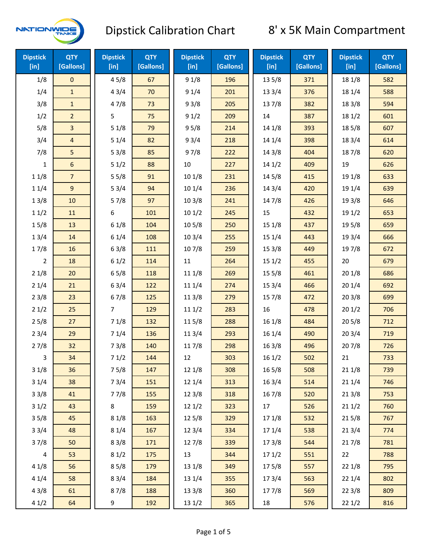

| <b>Dipstick</b><br>[in] | <b>QTY</b><br>[Gallons] | <b>Dipstick</b><br>[in] | <b>QTY</b><br>[Gallons] | <b>Dipstick</b><br>[in] | <b>QTY</b><br>[Gallons] | <b>Dipstick</b><br>[in] | <b>QTY</b><br>[Gallons] | <b>Dipstick</b><br>[in] | <b>QTY</b><br>[Gallons] |
|-------------------------|-------------------------|-------------------------|-------------------------|-------------------------|-------------------------|-------------------------|-------------------------|-------------------------|-------------------------|
| 1/8                     | $\mathsf{O}\xspace$     | 45/8                    | 67                      | 91/8                    | 196                     | 13 5/8                  | 371                     | 18 1/8                  | 582                     |
| 1/4                     | $\mathbf{1}$            | 43/4                    | 70                      | 91/4                    | 201                     | 13 3/4                  | 376                     | 18 1/4                  | 588                     |
| 3/8                     | $\mathbf{1}$            | 47/8                    | 73                      | 93/8                    | 205                     | 137/8                   | 382                     | 18 3/8                  | 594                     |
| 1/2                     | $\overline{2}$          | 5                       | 75                      | 91/2                    | 209                     | 14                      | 387                     | 18 1/2                  | 601                     |
| 5/8                     | $\overline{3}$          | 51/8                    | 79                      | 95/8                    | 214                     | 14 1/8                  | 393                     | 185/8                   | 607                     |
| 3/4                     | $\overline{4}$          | 51/4                    | 82                      | 93/4                    | 218                     | 14 1/4                  | 398                     | 18 3/4                  | 614                     |
| 7/8                     | 5                       | 53/8                    | 85                      | 97/8                    | 222                     | 14 3/8                  | 404                     | 187/8                   | 620                     |
| 1                       | 6                       | 51/2                    | 88                      | $10\,$                  | 227                     | 141/2                   | 409                     | 19                      | 626                     |
| 11/8                    | $\overline{7}$          | 55/8                    | 91                      | 101/8                   | 231                     | 14 5/8                  | 415                     | 19 1/8                  | 633                     |
| 11/4                    | 9                       | 53/4                    | 94                      | 101/4                   | 236                     | 14 3/4                  | 420                     | 19 1/4                  | 639                     |
| 13/8                    | 10                      | 57/8                    | 97                      | 103/8                   | 241                     | 147/8                   | 426                     | 19 3/8                  | 646                     |
| 11/2                    | 11                      | 6                       | 101                     | 101/2                   | 245                     | 15                      | 432                     | 19 1/2                  | 653                     |
| 15/8                    | 13                      | 61/8                    | 104                     | 10 <sub>5/8</sub>       | 250                     | 15 1/8                  | 437                     | 19 5/8                  | 659                     |
| 13/4                    | 14                      | 61/4                    | 108                     | 103/4                   | 255                     | 15 1/4                  | 443                     | 19 3/4                  | 666                     |
| 17/8                    | 16                      | 63/8                    | 111                     | 107/8                   | 259                     | 15 3/8                  | 449                     | 197/8                   | 672                     |
| $\overline{2}$          | 18                      | 61/2                    | 114                     | 11                      | 264                     | 151/2                   | 455                     | 20                      | 679                     |
| 21/8                    | 20                      | 65/8                    | 118                     | 11 1/8                  | 269                     | 15 5/8                  | 461                     | 201/8                   | 686                     |
| 21/4                    | 21                      | 63/4                    | 122                     | 11 1/4                  | 274                     | 15 3/4                  | 466                     | 201/4                   | 692                     |
| 23/8                    | 23                      | 67/8                    | 125                     | 11 3/8                  | 279                     | 15 7/8                  | 472                     | 203/8                   | 699                     |
| 21/2                    | 25                      | 7                       | 129                     | 111/2                   | 283                     | 16                      | 478                     | 201/2                   | 706                     |
| 25/8                    | 27                      | 71/8                    | 132                     | 11 5/8                  | 288                     | 161/8                   | 484                     | 205/8                   | 712                     |
| 23/4                    | 29                      | 71/4                    | 136                     | 11 3/4                  | 293                     | 16 1/4                  | 490                     | 203/4                   | 719                     |
| 27/8                    | 32                      | 73/8                    | 140                     | 117/8                   | 298                     | 16 3/8                  | 496                     | 207/8                   | 726                     |
| 3                       | 34                      | 71/2                    | 144                     | 12                      | 303                     | 161/2                   | 502                     | 21                      | 733                     |
| 31/8                    | 36                      | 75/8                    | 147                     | 12 1/8                  | 308                     | 16 5/8                  | 508                     | 211/8                   | 739                     |
| 31/4                    | 38                      | 73/4                    | 151                     | 12 1/4                  | 313                     | 16 3/4                  | 514                     | 21 1/4                  | 746                     |
| 33/8                    | 41                      | 77/8                    | 155                     | 12 3/8                  | 318                     | 16 7/8                  | 520                     | 213/8                   | 753                     |
| 31/2                    | 43                      | 8                       | 159                     | 121/2                   | 323                     | 17                      | 526                     | 211/2                   | 760                     |
| 35/8                    | 45                      | 81/8                    | 163                     | 125/8                   | 329                     | 17 1/8                  | 532                     | 215/8                   | 767                     |
| 33/4                    | 48                      | 81/4                    | 167                     | 123/4                   | 334                     | 17 1/4                  | 538                     | 213/4                   | 774                     |
| 37/8                    | 50                      | 83/8                    | 171                     | 127/8                   | 339                     | 173/8                   | 544                     | 217/8                   | 781                     |
| $\sqrt{4}$              | 53                      | 81/2                    | 175                     | 13                      | 344                     | 171/2                   | 551                     | 22                      | 788                     |
| 41/8                    | 56                      | 85/8                    | 179                     | 13 1/8                  | 349                     | 175/8                   | 557                     | 221/8                   | 795                     |
| 41/4                    | 58                      | 83/4                    | 184                     | 13 1/4                  | 355                     | 17 3/4                  | 563                     | 221/4                   | 802                     |
| 43/8                    | 61                      | 87/8                    | 188                     | 13 3/8                  | 360                     | 177/8                   | 569                     | 223/8                   | 809                     |
| 41/2                    | 64                      | 9                       | 192                     | 13 1/2                  | 365                     | 18                      | 576                     | 221/2                   | 816                     |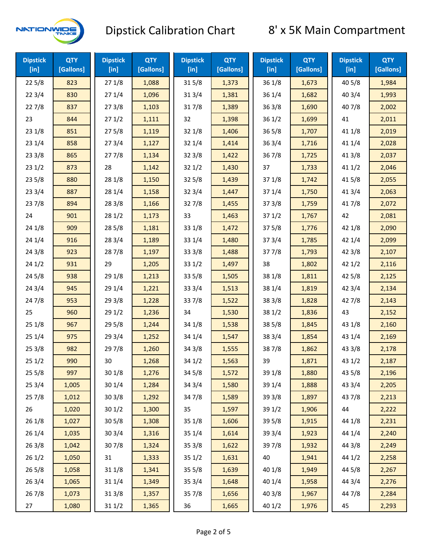

| <b>Dipstick</b><br>[in] | <b>QTY</b><br>[Gallons] | <b>Dipstick</b><br>$[$ in] | <b>QTY</b><br>[Gallons] | <b>Dipstick</b><br>$[$ in] | <b>QTY</b><br>[Gallons] | <b>Dipstick</b><br>$[$ in] | <b>QTY</b><br>[Gallons] | <b>Dipstick</b><br>$[$ in] | <b>QTY</b><br>[Gallons] |
|-------------------------|-------------------------|----------------------------|-------------------------|----------------------------|-------------------------|----------------------------|-------------------------|----------------------------|-------------------------|
| 225/8                   | 823                     | 271/8                      | 1,088                   | 315/8                      | 1,373                   | 36 1/8                     | 1,673                   | 40 5/8                     | 1,984                   |
| 223/4                   | 830                     | 271/4                      | 1,096                   | 31 3/4                     | 1,381                   | 36 1/4                     | 1,682                   | 403/4                      | 1,993                   |
| 227/8                   | 837                     | 273/8                      | 1,103                   | 317/8                      | 1,389                   | 363/8                      | 1,690                   | 407/8                      | 2,002                   |
| 23                      | 844                     | 271/2                      | 1,111                   | 32                         | 1,398                   | 361/2                      | 1,699                   | 41                         | 2,011                   |
| 23 1/8                  | 851                     | 275/8                      | 1,119                   | 32 1/8                     | 1,406                   | 365/8                      | 1,707                   | 41 1/8                     | 2,019                   |
| 231/4                   | 858                     | 273/4                      | 1,127                   | 32 1/4                     | 1,414                   | 363/4<br>1,716             |                         | 41 1/4                     | 2,028                   |
| 233/8                   | 865                     | 277/8                      | 1,134                   | 32 3/8                     | 1,422                   | 367/8                      | 1,725                   | 41 3/8                     | 2,037                   |
| 231/2                   | 873                     | 28                         | 1,142                   | 321/2                      | 1,430                   | 37                         | 1,733                   | 411/2                      | 2,046                   |
| 23 5/8                  | 880                     | 28 1/8                     | 1,150                   | 32 5/8                     | 1,439                   | 37 1/8                     | 1,742                   | 41 5/8                     | 2,055                   |
| 233/4                   | 887                     | 28 1/4                     | 1,158                   | 32 3/4                     | 1,447                   | 37 1/4                     | 1,750                   | 41 3/4                     | 2,063                   |
| 237/8                   | 894                     | 28 3/8                     | 1,166                   | 327/8                      | 1,455                   | 373/8                      | 1,759                   | 417/8                      | 2,072                   |
| 24                      | 901                     | 28 1/2                     | 1,173                   | 33                         | 1,463                   | 371/2                      | 1,767                   | 42                         | 2,081                   |
| 24 1/8                  | 909                     | 285/8                      | 1,181                   | 33 1/8                     | 1,472                   | 375/8                      | 1,776                   | 42 1/8                     | 2,090                   |
| 241/4                   | 916                     | 28 3/4                     | 1,189                   | 33 1/4                     | 1,480                   | 373/4                      | 1,785                   | 42 1/4                     | 2,099                   |
| 243/8                   | 923                     | 287/8                      | 1,197                   | 33 3/8                     | 1,488                   | 377/8                      | 1,793                   | 42 3/8                     | 2,107                   |
| 241/2                   | 931                     | 29                         | 1,205                   | 33 1/2                     | 1,497                   | 38                         | 1,802                   | 421/2                      | 2,116                   |
| 245/8                   | 938                     | 29 1/8                     | 1,213                   | 33 5/8                     | 1,505                   | 38 1/8                     | 1,811                   | 42 5/8                     | 2,125                   |
| 243/4                   | 945                     | 29 1/4                     | 1,221                   | 33 3/4                     | 1,513                   | 38 1/4                     | 1,819                   | 42 3/4                     | 2,134                   |
| 24 7/8                  | 953                     | 29 3/8                     | 1,228                   | 337/8                      | 1,522                   | 38 3/8                     | 1,828                   | 42 7/8                     | 2,143                   |
| 25                      | 960                     | 29 1/2                     | 1,236                   | 34                         | 1,530                   | 38 1/2                     | 1,836                   | 43                         | 2,152                   |
| 251/8                   | 967                     | 29 5/8                     | 1,244                   | 34 1/8                     | 1,538                   | 38 5/8                     | 1,845                   | 43 1/8                     | 2,160                   |
| 251/4                   | 975                     | 29 3/4                     | 1,252                   | 34 1/4                     | 1,547                   | 38 3/4                     | 1,854                   | 43 1/4                     | 2,169                   |
| 253/8                   | 982                     | 29 7/8                     | 1,260                   | 34 3/8                     | 1,555                   | 387/8                      | 1,862                   | 43 3/8                     | 2,178                   |
| 251/2                   | 990                     | 30                         | 1,268                   | 34 1/2                     | 1,563                   | 39                         | 1,871                   | 431/2                      | 2,187                   |
| 255/8                   | 997                     | 30 1/8                     | 1,276                   | 34 5/8                     | 1,572                   | 39 1/8                     | 1,880                   | 43 5/8                     | 2,196                   |
| 253/4                   | 1,005                   | 30 1/4                     | 1,284                   | 34 3/4                     | 1,580                   | 39 1/4                     | 1,888                   | 43 3/4                     | 2,205                   |
| 257/8                   | 1,012                   | 303/8                      | 1,292                   | 347/8                      | 1,589                   | 39 3/8                     | 1,897                   | 437/8                      | 2,213                   |
| 26                      | 1,020                   | 301/2                      | 1,300                   | 35                         | 1,597                   | 39 1/2                     | 1,906                   | 44                         | 2,222                   |
| 261/8                   | 1,027                   | 305/8                      | 1,308                   | 35 1/8                     | 1,606                   | 39 5/8                     | 1,915                   | 44 1/8                     | 2,231                   |
| 26 1/4                  | 1,035                   | 30 3/4                     | 1,316                   | 35 1/4                     | 1,614                   | 39 3/4                     | 1,923                   | 44 1/4                     | 2,240                   |
| 263/8                   | 1,042                   | 307/8                      | 1,324                   | 35 3/8                     | 1,622                   | 397/8                      | 1,932                   | 44 3/8                     | 2,249                   |
| 261/2                   | 1,050                   | 31                         | 1,333                   | 351/2                      | 1,631                   | 40                         | 1,941                   | 44 1/2                     | 2,258                   |
| 265/8                   | 1,058                   | 31 1/8                     | 1,341                   | 35 5/8                     | 1,639                   | 40 1/8                     | 1,949                   | 44 5/8                     | 2,267                   |
| 263/4                   | 1,065                   | 31 1/4                     | 1,349                   | 35 3/4                     | 1,648                   | 40 1/4                     | 1,958                   | 44 3/4                     | 2,276                   |
| 267/8                   | 1,073                   | 31 3/8                     | 1,357                   | 357/8                      | 1,656                   | 40 3/8                     | 1,967                   | 447/8                      | 2,284                   |
| 27                      | 1,080                   | 31 1/2                     | 1,365                   | 36                         | 1,665                   | 40 1/2                     | 1,976                   | 45                         | 2,293                   |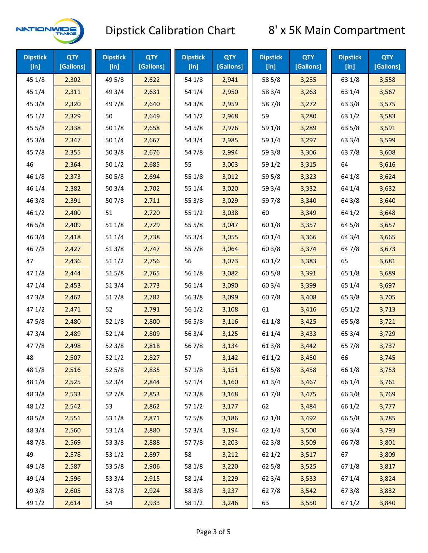

| <b>Dipstick</b><br>$[$ in] | <b>QTY</b><br>[Gallons] | <b>Dipstick</b><br>$[$ in] | <b>QTY</b><br>[Gallons] | <b>Dipstick</b><br>$[$ in] | <b>QTY</b><br>[Gallons] | <b>Dipstick</b><br>$[$ in] | <b>QTY</b><br>[Gallons] | <b>Dipstick</b><br>$[$ in] | <b>QTY</b><br>[Gallons] |
|----------------------------|-------------------------|----------------------------|-------------------------|----------------------------|-------------------------|----------------------------|-------------------------|----------------------------|-------------------------|
| 45 1/8                     | 2,302                   | 49 5/8                     | 2,622                   | 54 1/8                     | 2,941                   | 58 5/8                     | 3,255                   | 63 1/8                     | 3,558                   |
| 45 1/4                     | 2,311                   | 49 3/4                     | 2,631                   | 54 1/4                     | 2,950                   | 58 3/4                     | 3,263                   | 63 1/4                     | 3,567                   |
| 45 3/8                     | 2,320                   | 49 7/8                     | 2,640                   | 54 3/8                     | 2,959                   | 587/8                      | 3,272                   | 63 3/8                     | 3,575                   |
| 451/2                      | 2,329                   | 50                         | 2,649                   | 54 1/2                     | 2,968                   | 59                         | 3,280                   | 63 1/2                     | 3,583                   |
| 45 5/8                     | 2,338                   | 501/8                      | 2,658                   | 54 5/8                     | 2,976                   | 59 1/8                     | 3,289                   | 63 5/8                     | 3,591                   |
| 45 3/4                     | 2,347                   | 501/4                      | 2,667                   | 54 3/4                     | 2,985                   | 59 1/4                     | 3,297                   | 63 3/4                     | 3,599                   |
| 45 7/8                     | 2,355                   | 503/8                      | 2,676                   | 54 7/8                     | 2,994                   | 59 3/8                     | 3,306                   | 63 7/8                     | 3,608                   |
| 46                         | 2,364                   | 501/2                      | 2,685                   | 55                         | 3,003                   | 59 1/2                     | 3,315                   | 64                         | 3,616                   |
| 46 1/8                     | 2,373                   | 505/8                      | 2,694                   | 55 1/8                     | 3,012                   | 59 5/8                     | 3,323                   | 64 1/8                     | 3,624                   |
| 46 1/4                     | 2,382                   | 50 3/4                     | 2,702                   | 55 1/4                     | 3,020                   | 59 3/4                     | 3,332                   | 64 1/4                     | 3,632                   |
| 46 3/8                     | 2,391                   | 507/8                      | 2,711                   | 55 3/8                     | 3,029                   | 59 7/8                     | 3,340                   | 64 3/8                     | 3,640                   |
| 46 1/2                     | 2,400                   | 51                         | 2,720                   | 551/2                      | 3,038                   | 60                         | 3,349                   | 64 1/2                     | 3,648                   |
| 46 5/8                     | 2,409                   | 511/8                      | 2,729                   | 555/8                      | 3,047                   | 60 1/8                     | 3,357                   | 64 5/8                     | 3,657                   |
| 46 3/4                     | 2,418                   | 511/4                      | 2,738                   | 55 3/4                     | 3,055                   | 60 1/4                     | 3,366                   | 64 3/4                     | 3,665                   |
| 46 7/8                     | 2,427                   | 513/8                      | 2,747                   | 55 7/8                     | 3,064                   | 60 3/8                     | 3,374                   | 64 7/8                     | 3,673                   |
| 47                         | 2,436                   | 511/2                      | 2,756                   | 56                         | 3,073                   | 601/2                      | 3,383                   | 65                         | 3,681                   |
| 47 1/8                     | 2,444                   | 515/8                      | 2,765                   | 56 1/8                     | 3,082                   | 60 5/8                     | 3,391                   | 65 1/8                     | 3,689                   |
| 47 1/4                     | 2,453                   | 51 3/4                     | 2,773                   | 56 1/4                     | 3,090                   | 60 3/4                     | 3,399                   | 65 1/4                     | 3,697                   |
| 47 3/8                     | 2,462                   | 517/8                      | 2,782                   | 56 3/8                     | 3,099                   | 60 7/8                     | 3,408                   | 65 3/8                     | 3,705                   |
| 47 1/2                     | 2,471                   | 52                         | 2,791                   | 561/2                      | 3,108                   | 61                         | 3,416                   | 65 1/2                     | 3,713                   |
| 475/8                      | 2,480                   | 52 1/8                     | 2,800                   | 56 5/8                     | 3,116                   | 61 1/8                     | 3,425                   | 65 5/8                     | 3,721                   |
| 47 3/4                     | 2,489                   | 52 1/4                     | 2,809                   | 56 3/4                     | 3,125                   | 61 1/4                     | 3,433                   | 65 3/4                     | 3,729                   |
| 477/8                      | 2,498                   | 52 3/8                     | 2,818                   | 56 7/8                     | 3,134                   | 61 3/8                     | 3,442                   | 65 7/8                     | 3,737                   |
| 48                         | 2,507                   | 521/2                      | 2,827                   | 57                         | 3,142                   | 611/2                      | 3,450                   | 66                         | 3,745                   |
| 48 1/8                     | 2,516                   | 525/8                      | 2,835                   | 57 1/8                     | 3,151                   | 615/8                      | 3,458                   | 66 1/8                     | 3,753                   |
| 48 1/4                     | 2,525                   | 523/4                      | 2,844                   | 57 1/4                     | 3,160                   | 61 3/4                     | 3,467                   | 66 1/4                     | 3,761                   |
| 48 3/8                     | 2,533                   | 527/8                      | 2,853                   | 57 3/8                     | 3,168                   | 617/8                      | 3,475                   | 66 3/8                     | 3,769                   |
| 48 1/2                     | 2,542                   | 53                         | 2,862                   | 57 1/2                     | 3,177                   | 62                         | 3,484                   | 66 1/2                     | 3,777                   |
| 48 5/8                     | 2,551                   | 53 1/8                     | 2,871                   | 57 5/8                     | 3,186                   | 62 1/8                     | 3,492                   | 66 5/8                     | 3,785                   |
| 48 3/4                     | 2,560                   | 53 1/4                     | 2,880                   | 573/4                      | 3,194                   | 62 1/4                     | 3,500                   | 66 3/4                     | 3,793                   |
| 487/8                      | 2,569                   | 53 3/8                     | 2,888                   | 577/8                      | 3,203                   | 62 3/8                     | 3,509                   | 66 7/8                     | 3,801                   |
| 49                         | 2,578                   | 53 1/2                     | 2,897                   | 58                         | 3,212                   | 621/2                      | 3,517                   | 67                         | 3,809                   |
| 49 1/8                     | 2,587                   | 53 5/8                     | 2,906                   | 58 1/8                     | 3,220                   | 62 5/8                     | 3,525                   | 671/8                      | 3,817                   |
| 49 1/4                     | 2,596                   | 53 3/4                     | 2,915                   | 58 1/4                     | 3,229                   | 62 3/4                     | 3,533                   | 67 1/4                     | 3,824                   |
| 49 3/8                     | 2,605                   | 537/8                      | 2,924                   | 58 3/8                     | 3,237                   | 627/8                      | 3,542                   | 67 3/8                     | 3,832                   |
| 49 1/2                     | 2,614                   | 54                         | 2,933                   | 58 1/2                     | 3,246                   | 63                         | 3,550                   | 67 1/2                     | 3,840                   |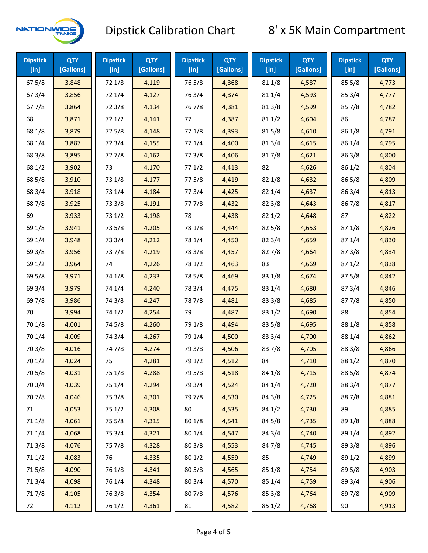

| <b>Dipstick</b><br>$[$ in] | <b>QTY</b><br>[Gallons] | <b>Dipstick</b><br>$[$ in] | <b>QTY</b><br>[Gallons] | <b>Dipstick</b><br>$[$ in] | <b>QTY</b><br>[Gallons] | <b>Dipstick</b><br>$[$ in] | <b>QTY</b><br>[Gallons] | <b>Dipstick</b><br>$[$ in] | <b>QTY</b><br>[Gallons] |
|----------------------------|-------------------------|----------------------------|-------------------------|----------------------------|-------------------------|----------------------------|-------------------------|----------------------------|-------------------------|
| 675/8                      | 3,848                   | 72 1/8                     | 4,119                   | 765/8                      | 4,368                   | 81 1/8                     | 4,587                   | 855/8                      | 4,773                   |
| 67 3/4                     | 3,856                   | 72 1/4                     | 4,127                   | 763/4                      | 4,374                   | 81 1/4                     | 4,593                   | 85 3/4                     | 4,777                   |
| 677/8                      | 3,864                   | 72 3/8                     | 4,134                   | 767/8                      | 4,381                   | 81 3/8                     | 4,599                   | 857/8                      | 4,782                   |
| 68                         | 3,871                   | 721/2                      | 4,141                   | 77                         | 4,387                   | 81 1/2                     | 4,604                   | 86                         | 4,787                   |
| 68 1/8                     | 3,879                   | 725/8                      | 4,148                   | 77 1/8                     | 4,393                   | 815/8                      | 4,610                   | 86 1/8                     | 4,791                   |
| 68 1/4                     | 3,887                   | 72 3/4                     | 4,155                   | 77 1/4                     | 4,400                   | 813/4                      | 4,615                   | 86 1/4                     | 4,795                   |
| 68 3/8                     | 3,895                   | 727/8                      | 4,162                   | 77 3/8                     | 4,406                   | 817/8                      | 4,621                   | 86 3/8                     | 4,800                   |
| 68 1/2                     | 3,902                   | 73                         | 4,170                   | 771/2                      | 4,413                   | 82                         | 4,626                   | 86 1/2                     | 4,804                   |
| 68 5/8                     | 3,910                   | 73 1/8                     | 4,177                   | 775/8                      | 4,419                   | 82 1/8                     | 4,632                   | 86 5/8                     | 4,809                   |
| 68 3/4                     | 3,918                   | 73 1/4                     | 4,184                   | 773/4                      | 4,425                   | 82 1/4                     | 4,637                   | 86 3/4                     | 4,813                   |
| 687/8                      | 3,925                   | 73 3/8                     | 4,191                   | 777/8                      | 4,432                   | 82 3/8                     | 4,643                   | 867/8                      | 4,817                   |
| 69                         | 3,933                   | 73 1/2                     | 4,198                   | 78                         | 4,438                   | 82 1/2                     | 4,648                   | 87                         | 4,822                   |
| 69 1/8                     | 3,941                   | 73 5/8                     | 4,205                   | 78 1/8                     | 4,444                   | 82 5/8                     | 4,653                   | 871/8                      | 4,826                   |
| 69 1/4                     | 3,948                   | 73 3/4                     | 4,212                   | 78 1/4                     | 4,450                   | 82 3/4                     | 4,659                   | 87 1/4                     | 4,830                   |
| 69 3/8                     | 3,956                   | 737/8                      | 4,219                   | 78 3/8                     | 4,457                   | 827/8                      | 4,664                   | 87 3/8                     | 4,834                   |
| 69 1/2                     | 3,964                   | 74                         | 4,226                   | 78 1/2                     | 4,463                   | 83                         | 4,669                   | 871/2                      | 4,838                   |
| 69 5/8                     | 3,971                   | 74 1/8                     | 4,233                   | 78 5/8                     | 4,469                   | 83 1/8                     | 4,674                   | 87 5/8                     | 4,842                   |
| 69 3/4                     | 3,979                   | 74 1/4                     | 4,240                   | 78 3/4                     | 4,475                   | 83 1/4                     | 4,680                   | 87 3/4                     | 4,846                   |
| 69 7/8                     | 3,986                   | 74 3/8                     | 4,247                   | 787/8                      | 4,481                   | 83 3/8                     | 4,685                   | 877/8                      | 4,850                   |
| 70                         | 3,994                   | 74 1/2                     | 4,254                   | 79                         | 4,487                   | 83 1/2                     | 4,690                   | 88                         | 4,854                   |
| 70 1/8                     | 4,001                   | 74 5/8                     | 4,260                   | 79 1/8                     | 4,494                   | 83 5/8                     | 4,695                   | 88 1/8                     | 4,858                   |
| 70 1/4                     | 4,009                   | 74 3/4                     | 4,267                   | 79 1/4                     | 4,500                   | 83 3/4                     | 4,700                   | 88 1/4                     | 4,862                   |
| 70 3/8                     | 4,016                   | 747/8                      | 4,274                   | 79 3/8                     | 4,506                   | 837/8                      | 4,705                   | 88 3/8                     | 4,866                   |
| 70 1/2                     | 4,024                   | 75                         | 4,281                   | 79 1/2                     | 4,512                   | 84                         | 4,710                   | 88 1/2                     | 4,870                   |
| 70 5/8                     | 4,031                   | 75 1/8                     | 4,288                   | 79 5/8                     | 4,518                   | 84 1/8                     | 4,715                   | 88 5/8                     | 4,874                   |
| 70 3/4                     | 4,039                   | 75 1/4                     | 4,294                   | 79 3/4                     | 4,524                   | 84 1/4                     | 4,720                   | 88 3/4                     | 4,877                   |
| 70 7/8                     | 4,046                   | 75 3/8                     | 4,301                   | 79 7/8                     | 4,530                   | 84 3/8                     | 4,725                   | 887/8                      | 4,881                   |
| 71                         | 4,053                   | 75 1/2                     | 4,308                   | 80                         | 4,535                   | 84 1/2                     | 4,730                   | 89                         | 4,885                   |
| 71 1/8                     | 4,061                   | 75 5/8                     | 4,315                   | 80 1/8                     | 4,541                   | 84 5/8                     | 4,735                   | 89 1/8                     | 4,888                   |
| 71 1/4                     | 4,068                   | 75 3/4                     | 4,321                   | 80 1/4                     | 4,547                   | 84 3/4                     | 4,740                   | 89 1/4                     | 4,892                   |
| 713/8                      | 4,076                   | 75 7/8                     | 4,328                   | 80 3/8                     | 4,553                   | 84 7/8                     | 4,745                   | 89 3/8                     | 4,896                   |
| 71 1/2                     | 4,083                   | 76                         | 4,335                   | 80 1/2                     | 4,559                   | 85                         | 4,749                   | 89 1/2                     | 4,899                   |
| 715/8                      | 4,090                   | 76 1/8                     | 4,341                   | 80 5/8                     | 4,565                   | 85 1/8                     | 4,754                   | 89 5/8                     | 4,903                   |
| 713/4                      | 4,098                   | 76 1/4                     | 4,348                   | 80 3/4                     | 4,570                   | 85 1/4                     | 4,759                   | 89 3/4                     | 4,906                   |
| 717/8                      | 4,105                   | 763/8                      | 4,354                   | 807/8                      | 4,576                   | 85 3/8                     | 4,764                   | 897/8                      | 4,909                   |
| 72                         | 4,112                   | 76 1/2                     | 4,361                   | 81                         | 4,582                   | 85 1/2                     | 4,768                   | 90                         | 4,913                   |